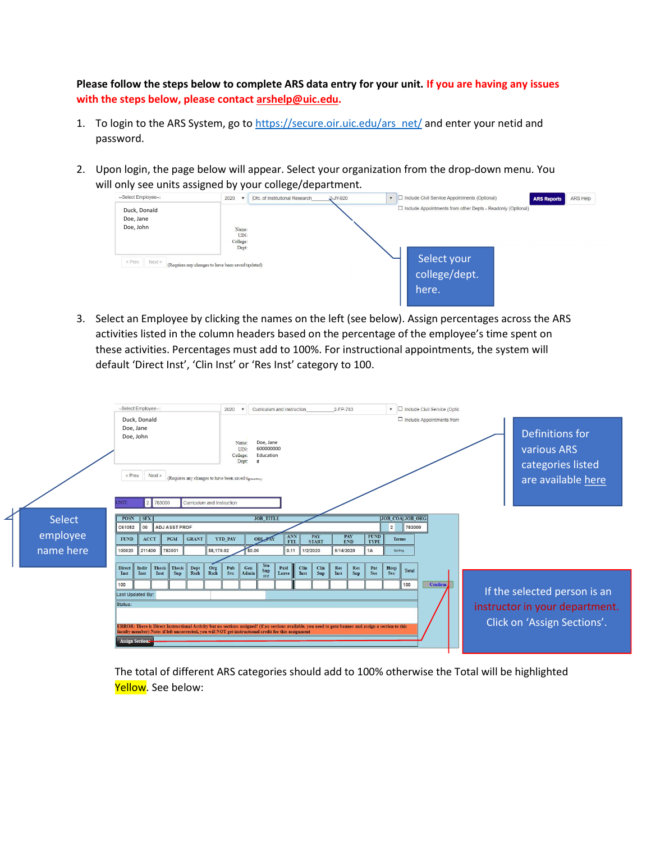Please follow the steps below to complete ARS data entry for your unit. If you are having any issues with the steps below, please contact arshelp@uic.edu.

- 1. To login to the ARS System, go to https://secure.oir.uic.edu/ars\_net/ and enter your netid and password.
- 2. Upon login, the page below will appear. Select your organization from the drop-down menu. You will only see units assigned by your college/department.



3. Select an Employee by clicking the names on the left (see below). Assign percentages across the ARS activities listed in the column headers based on the percentage of the employee's time spent on these activities. Percentages must add to 100%. For instructional appointments, the system will default 'Direct Inst', 'Clin Inst' or 'Res Inst' category to 100.

|           |                                    | --Select Employee-                     |                                                                                                                                                                                                                                                                 |                            |                | 2020                                                                                                                                                             |              |                                            | Curriculum and Instruction |              |                     | 2-FP-783          |            |                            |                |                                                                                  | • Include Civil Service (Optio |  |  |                                                               |  |  |
|-----------|------------------------------------|----------------------------------------|-----------------------------------------------------------------------------------------------------------------------------------------------------------------------------------------------------------------------------------------------------------------|----------------------------|----------------|------------------------------------------------------------------------------------------------------------------------------------------------------------------|--------------|--------------------------------------------|----------------------------|--------------|---------------------|-------------------|------------|----------------------------|----------------|----------------------------------------------------------------------------------|--------------------------------|--|--|---------------------------------------------------------------|--|--|
|           | Doe, Jane<br>Doe, John<br>$<$ Prev | Duck, Donald<br>Next<br>2 783000       |                                                                                                                                                                                                                                                                 | Curriculum and Instruction |                | $\Box$ Include Appointments from<br>Doe, Jane<br>Name:<br>600000000<br>UIN<br>College:<br>Education<br>Dept:<br>(Requires any changes to have been saved/uponco) |              |                                            |                            |              |                     |                   |            |                            |                | Definitions for<br><b>various ARS</b><br>categories listed<br>are available here |                                |  |  |                                                               |  |  |
| Select    | <b>POSN</b>                        | <b>SEX</b>                             |                                                                                                                                                                                                                                                                 |                            |                |                                                                                                                                                                  |              | <b>JOB TITLE</b>                           |                            |              |                     |                   |            |                            |                | JOB_COA JOB_ORG                                                                  |                                |  |  |                                                               |  |  |
|           | C61052                             | 00                                     | <b>ADJ ASST PROF</b>                                                                                                                                                                                                                                            |                            |                |                                                                                                                                                                  |              |                                            |                            |              |                     |                   |            |                            | $\overline{2}$ | 783000                                                                           |                                |  |  |                                                               |  |  |
| employee  | <b>FUND</b>                        | <b>ACCT</b>                            | <b>PGM</b>                                                                                                                                                                                                                                                      | <b>GRANT</b>               | <b>YTD PAY</b> |                                                                                                                                                                  |              | <b>OBL PAY</b>                             | ANN<br><b>FTE</b>          |              | PAY<br><b>START</b> | PAY<br><b>END</b> |            | <b>FUND</b><br><b>TYPE</b> | <b>Terms</b>   |                                                                                  |                                |  |  |                                                               |  |  |
| name here | 100020                             | 211400                                 | 783001                                                                                                                                                                                                                                                          |                            | \$8,170.02     |                                                                                                                                                                  | \$0.00       |                                            | 0.11                       | 1/2/2020     |                     | 5/14/2020         |            | 1A                         | Spring         |                                                                                  |                                |  |  |                                                               |  |  |
|           |                                    |                                        |                                                                                                                                                                                                                                                                 |                            |                |                                                                                                                                                                  |              |                                            |                            |              |                     |                   |            |                            |                |                                                                                  |                                |  |  |                                                               |  |  |
|           | <b>Direct</b><br>Inst              | Indir<br><b>Thesis</b><br>Inst<br>Inst | Thesis<br>Sup                                                                                                                                                                                                                                                   | Dept<br>Rsch               | Org<br>Rsch    | Pub<br>Svc                                                                                                                                                       | Gen<br>Admin | $\frac{\mathsf{Stu}}{\mathsf{Sup}}$<br>svc | Paid<br>Leave              | Clin<br>Inst | Clin<br>Sup         | Res<br>Inst       | Res<br>Sup | Pat<br>Svc                 | Hosp<br>Svc    | <b>Total</b>                                                                     |                                |  |  |                                                               |  |  |
|           | 100                                |                                        |                                                                                                                                                                                                                                                                 |                            |                |                                                                                                                                                                  |              |                                            |                            |              |                     |                   |            |                            |                | 100                                                                              | Confirm                        |  |  |                                                               |  |  |
|           | Last Updated By:                   |                                        |                                                                                                                                                                                                                                                                 |                            |                |                                                                                                                                                                  |              |                                            |                            |              |                     |                   |            |                            |                |                                                                                  |                                |  |  | If the selected person is an                                  |  |  |
|           | Status:                            |                                        |                                                                                                                                                                                                                                                                 |                            |                |                                                                                                                                                                  |              |                                            |                            |              |                     |                   |            |                            |                |                                                                                  |                                |  |  |                                                               |  |  |
|           |                                    |                                        | ERROR: There is Direct Instructional Activity but no sections assigned! (if no sections available, you need to goto banner and assign a section to this<br>faculty member) Note: if left uncorrected, you will NOT get instructional credit for this assignment |                            |                |                                                                                                                                                                  |              |                                            |                            |              |                     |                   |            |                            |                |                                                                                  |                                |  |  | instructor in your department.<br>Click on 'Assign Sections'. |  |  |
|           | <b>Assign Sections</b>             |                                        |                                                                                                                                                                                                                                                                 |                            |                |                                                                                                                                                                  |              |                                            |                            |              |                     |                   |            |                            |                |                                                                                  |                                |  |  |                                                               |  |  |

The total of different ARS categories should add to 100% otherwise the Total will be highlighted Yellow. See below: